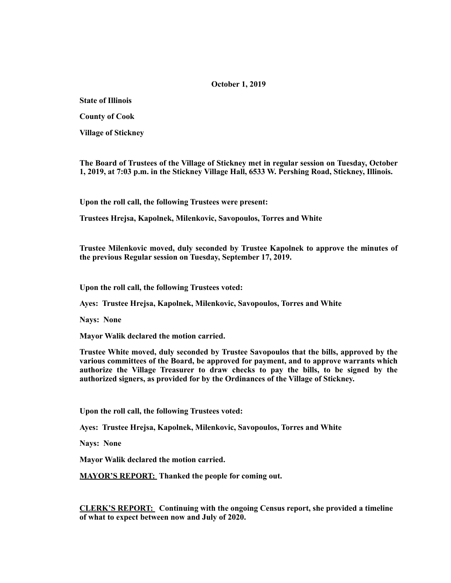## **October 1, 2019**

**State of Illinois** 

**County of Cook** 

**Village of Stickney** 

**The Board of Trustees of the Village of Stickney met in regular session on Tuesday, October 1, 2019, at 7:03 p.m. in the Stickney Village Hall, 6533 W. Pershing Road, Stickney, Illinois.** 

**Upon the roll call, the following Trustees were present:** 

**Trustees Hrejsa, Kapolnek, Milenkovic, Savopoulos, Torres and White** 

**Trustee Milenkovic moved, duly seconded by Trustee Kapolnek to approve the minutes of the previous Regular session on Tuesday, September 17, 2019.** 

**Upon the roll call, the following Trustees voted:** 

**Ayes: Trustee Hrejsa, Kapolnek, Milenkovic, Savopoulos, Torres and White** 

**Nays: None** 

**Mayor Walik declared the motion carried.** 

**Trustee White moved, duly seconded by Trustee Savopoulos that the bills, approved by the various committees of the Board, be approved for payment, and to approve warrants which authorize the Village Treasurer to draw checks to pay the bills, to be signed by the authorized signers, as provided for by the Ordinances of the Village of Stickney.** 

**Upon the roll call, the following Trustees voted:** 

**Ayes: Trustee Hrejsa, Kapolnek, Milenkovic, Savopoulos, Torres and White** 

**Nays: None** 

**Mayor Walik declared the motion carried.** 

**MAYOR'S REPORT: Thanked the people for coming out.** 

**CLERK'S REPORT: Continuing with the ongoing Census report, she provided a timeline of what to expect between now and July of 2020.**